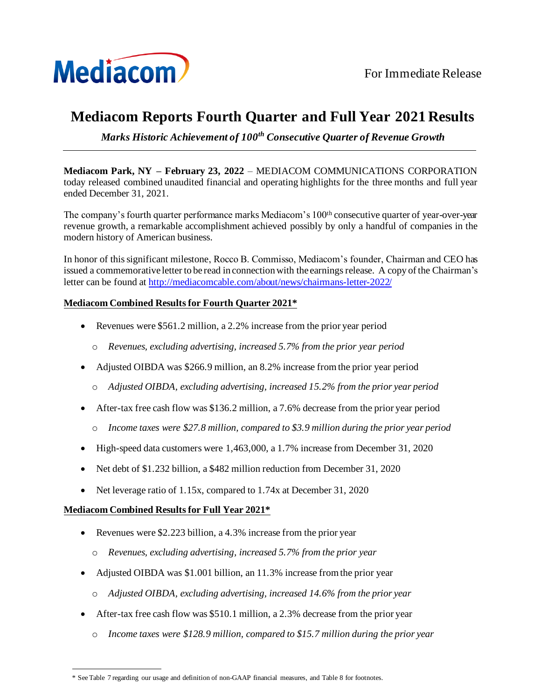

# **Mediacom Reports Fourth Quarter and Full Year 2021 Results**

*Marks Historic Achievement of 100th Consecutive Quarter of Revenue Growth* 

**Mediacom Park, NY – February 23, 2022** – MEDIACOM COMMUNICATIONS CORPORATION today released combined unaudited financial and operating highlights for the three months and full year ended December 31, 2021.

The company's fourth quarter performance marks Mediacom's 100th consecutive quarter of year-over-year revenue growth, a remarkable accomplishment achieved possibly by only a handful of companies in the modern history of American business.

In honor of this significant milestone, Rocco B. Commisso, Mediacom's founder, Chairman and CEO has issued a commemorative letter to be read in connection with the earnings release. A copy of the Chairman's letter can be found a[t http://mediacomcable.com/about/news/chairmans-letter-2022/](http://mediacomcable.com/about/news/chairmans-letter-2022/)

## **Mediacom Combined Results for Fourth Quarter 2021\***

- Revenues were \$561.2 million, a 2.2% increase from the prior year period
	- o *Revenues, excluding advertising, increased 5.7% from the prior year period*
- Adjusted OIBDA was \$266.9 million, an 8.2% increase from the prior year period
	- o *Adjusted OIBDA, excluding advertising, increased 15.2% from the prior year period*
- After-tax free cash flow was \$136.2 million, a 7.6% decrease from the prior year period
	- o *Income taxes were \$27.8 million, compared to \$3.9 million during the prior year period*
- High-speed data customers were 1,463,000, a 1.7% increase from December 31, 2020
- Net debt of \$1,232 billion, a \$482 million reduction from December 31, 2020
- Net leverage ratio of 1.15x, compared to 1.74x at December 31, 2020

## **Mediacom Combined Results for Full Year 2021\***

- Revenues were \$2.223 billion, a 4.3% increase from the prior year
	- o *Revenues, excluding advertising, increased 5.7% from the prior year*
- Adjusted OIBDA was \$1.001 billion, an 11.3% increase from the prior year
	- o *Adjusted OIBDA, excluding advertising, increased 14.6% from the prior year*
- After-tax free cash flow was \$510.1 million, a 2.3% decrease from the prior year
	- o *Income taxes were \$128.9 million, compared to \$15.7 million during the prior year*

<sup>\*</sup> See Table 7 regarding our usage and definition of non-GAAP financial measures, and Table 8 for footnotes.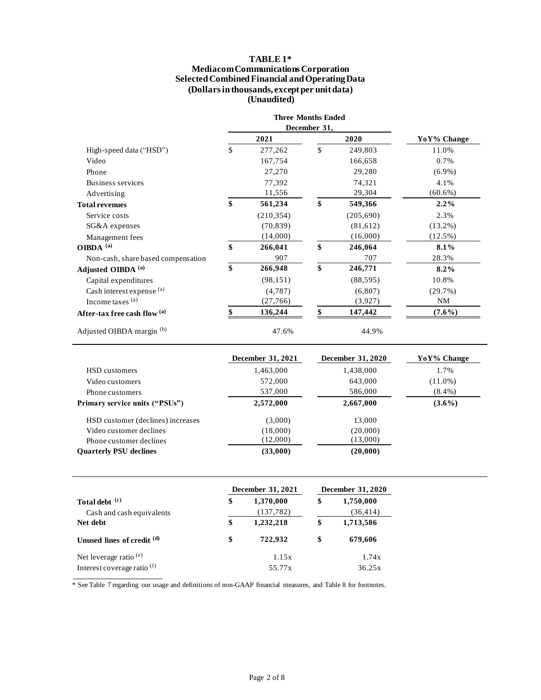#### **TABLE 1\***

#### **Mediacom Communications Corporation Selected Combined Financial and Operating Data (Dollars in thousands, except per unit data) (Unaudited)**

|                                    | <b>Three Months Ended</b> |    |            |             |
|------------------------------------|---------------------------|----|------------|-------------|
|                                    | December 31,              |    |            |             |
|                                    | 2021                      |    | 2020       | YoY% Change |
| High-speed data ("HSD")            | \$<br>277,262             | \$ | 249,803    | 11.0%       |
| Video                              | 167,754                   |    | 166,658    | 0.7%        |
| Phone                              | 27,270                    |    | 29,280     | $(6.9\%)$   |
| Business services                  | 77,392                    |    | 74,321     | 4.1%        |
| Advertising                        | 11,556                    |    | 29,304     | $(60.6\%)$  |
| <b>Total revenues</b>              | \$<br>561,234             | \$ | 549,366    | $2.2\%$     |
| Service costs                      | (210, 354)                |    | (205, 690) | 2.3%        |
| SG&A expenses                      | (70, 839)                 |    | (81, 612)  | $(13.2\%)$  |
| Management fees                    | (14,000)                  |    | (16,000)   | $(12.5\%)$  |
| OIBDA $^{(a)}$                     | \$<br>266,041             | \$ | 246,064    | 8.1%        |
| Non-cash, share based compensation | 907                       |    | 707        | 28.3%       |
| Adjusted OIBDA <sup>(a)</sup>      | \$<br>266,948             | \$ | 246,771    | $8.2\%$     |
| Capital expenditures               | (98, 151)                 |    | (88, 595)  | 10.8%       |
| Cash interest expense (a)          | (4,787)                   |    | (6,807)    | (29.7%)     |
| Income taxes (a)                   | (27,766)                  |    | (3,927)    | <b>NM</b>   |
| After-tax free cash flow (a)       | 136,244                   |    | 147,442    | $(7.6\%)$   |
| Adjusted OIBDA margin (b)          | 47.6%                     |    | 44.9%      |             |

|                                       | <b>December 31, 2021</b> | <b>December 31, 2020</b> | YoY% Change |
|---------------------------------------|--------------------------|--------------------------|-------------|
| HSD customers                         | 1,463,000                | 1,438,000                | 1.7%        |
| Video customers                       | 572,000                  | 643,000                  | $(11.0\%)$  |
| Phone customers                       | 537,000                  | 586,000                  | $(8.4\%)$   |
| <b>Primary service units ("PSUs")</b> | 2,572,000                | 2,667,000                | $(3.6\%)$   |
| HSD customer (declines) increases     | (3,000)                  | 13,000                   |             |
| Video customer declines               | (18,000)                 | (20,000)                 |             |
| Phone customer declines               | (12,000)                 | (13,000)                 |             |
| <b>Ouarterly PSU declines</b>         | (33,000)                 | (20,000)                 |             |

|                                             | <b>December 31, 2021</b>      | <b>December 31, 2020</b> |                        |  |
|---------------------------------------------|-------------------------------|--------------------------|------------------------|--|
| Total debt (c)<br>Cash and cash equivalents | \$<br>1,370,000<br>(137, 782) | \$                       | 1,750,000<br>(36, 414) |  |
| Net debt                                    | \$<br>1,232,218               | \$                       | 1,713,586              |  |
| Unused lines of credit (d)                  | \$<br>722.932                 | \$                       | 679,606                |  |
| Net leverage ratio $(e)$                    | 1.15x                         |                          | 1.74x                  |  |
| Interest coverage ratio (f)                 | 55.77x                        |                          | 36.25x                 |  |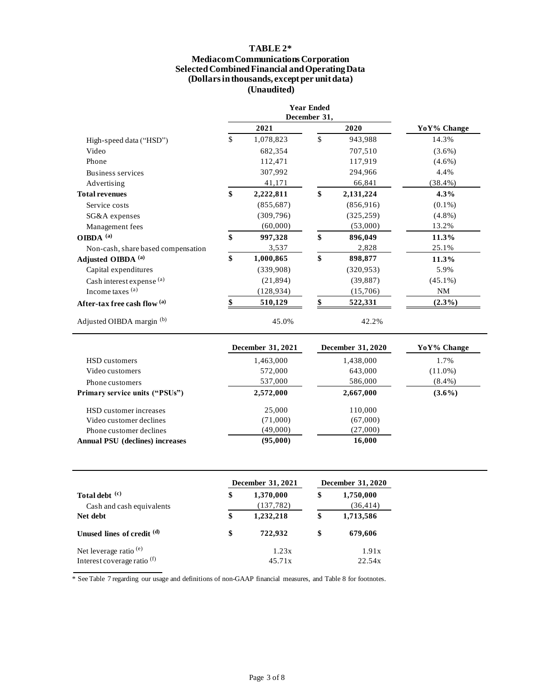#### **TABLE 2\* Mediacom Communications Corporation Selected Combined Financial and Operating Data (Dollars in thousands, except per unit data) (Unaudited)**

|                                    |                 | <b>Year Ended</b><br>December 31, |            |             |
|------------------------------------|-----------------|-----------------------------------|------------|-------------|
|                                    | 2021            |                                   | 2020       | YoY% Change |
| High-speed data ("HSD")            | \$<br>1,078,823 | \$                                | 943,988    | 14.3%       |
| Video                              | 682,354         |                                   | 707,510    | $(3.6\%)$   |
| Phone                              | 112,471         |                                   | 117,919    | $(4.6\%)$   |
| Business services                  | 307,992         |                                   | 294,966    | 4.4%        |
| Advertising                        | 41,171          |                                   | 66,841     | $(38.4\%)$  |
| <b>Total revenues</b>              | \$<br>2,222,811 | \$                                | 2,131,224  | $4.3\%$     |
| Service costs                      | (855, 687)      |                                   | (856, 916) | $(0.1\%)$   |
| SG&A expenses                      | (309, 796)      |                                   | (325, 259) | $(4.8\%)$   |
| Management fees                    | (60,000)        |                                   | (53,000)   | 13.2%       |
| OIBDA $^{(a)}$                     | \$<br>997,328   | \$                                | 896,049    | 11.3%       |
| Non-cash, share based compensation | 3,537           |                                   | 2,828      | 25.1%       |
| Adjusted OIBDA <sup>(a)</sup>      | \$<br>1,000,865 | \$                                | 898,877    | 11.3%       |
| Capital expenditures               | (339,908)       |                                   | (320, 953) | 5.9%        |
| Cash interest expense (a)          | (21, 894)       |                                   | (39, 887)  | $(45.1\%)$  |
| Income taxes $(a)$                 | (128, 934)      |                                   | (15,706)   | <b>NM</b>   |
| After-tax free cash flow (a)       | 510,129         |                                   | 522,331    | $(2.3\%)$   |
| Adjusted OIBDA margin (b)          | 45.0%           |                                   | 42.2%      |             |

|                                        | December 31, 2021 | <b>December 31, 2020</b> | YoY% Change |
|----------------------------------------|-------------------|--------------------------|-------------|
| HSD customers                          | 1,463,000         | 1,438,000                | 1.7%        |
| Video customers                        | 572,000           | 643,000                  | $(11.0\%)$  |
| Phone customers                        | 537,000           | 586,000                  | $(8.4\%)$   |
| <b>Primary service units ("PSUs")</b>  | 2,572,000         | 2,667,000                | $(3.6\%)$   |
| HSD customer increases                 | 25,000            | 110.000                  |             |
| Video customer declines                | (71,000)          | (67,000)                 |             |
| Phone customer declines                | (49,000)          | (27,000)                 |             |
| <b>Annual PSU</b> (declines) increases | (95,000)          | 16,000                   |             |

|                                        | <b>December 31, 2021</b> |            |    | December 31, 2020 |
|----------------------------------------|--------------------------|------------|----|-------------------|
| Total debt (c)                         | \$                       | 1,370,000  | \$ | 1,750,000         |
| Cash and cash equivalents              |                          | (137, 782) |    | (36, 414)         |
| Net debt                               | \$                       | 1,232,218  | \$ | 1,713,586         |
| Unused lines of credit (d)             | \$                       | 722.932    | \$ | 679,606           |
| Net leverage ratio $(e)$               |                          | 1.23x      |    | 1.91x             |
| Interest coverage ratio <sup>(f)</sup> |                          | 45.71x     |    | 22.54x            |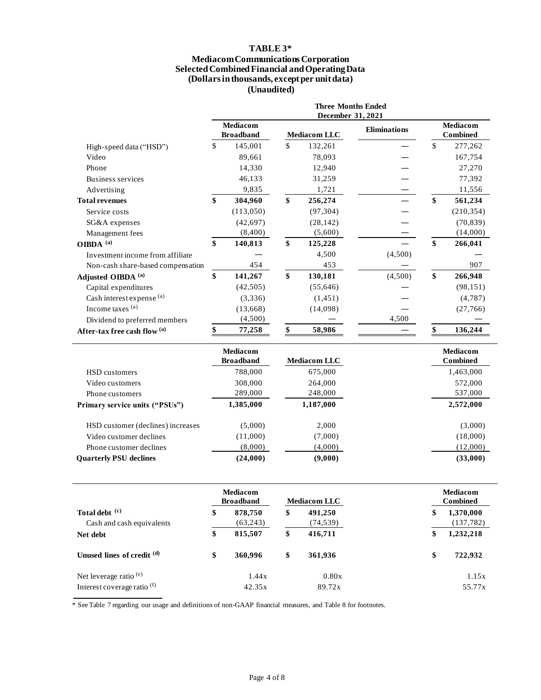#### **TABLE 3\***

#### **Mediacom Communications Corporation Selected Combined Financial and Operating Data (Dollars in thousands, except per unit data) (Unaudited)**

|                                   |              |                                     | <b>Three Months Ended</b><br>December 31, 2021 |                     |                                    |
|-----------------------------------|--------------|-------------------------------------|------------------------------------------------|---------------------|------------------------------------|
|                                   |              | Mediacom<br><b>Broadband</b>        | <b>Mediacom LLC</b>                            | <b>Eliminations</b> | <b>Mediacom</b><br><b>Combined</b> |
| High-speed data ("HSD")           | $\mathbb{S}$ | 145,001                             | \$<br>132,261                                  |                     | \$<br>277,262                      |
| Video                             |              | 89,661                              | 78,093                                         |                     | 167,754                            |
| Phone                             |              | 14,330                              | 12,940                                         |                     | 27,270                             |
| Business services                 |              | 46,133                              | 31,259                                         |                     | 77,392                             |
| Advertising                       |              | 9,835                               | 1,721                                          |                     | 11,556                             |
| <b>Total revenues</b>             | \$           | 304,960                             | \$<br>256,274                                  |                     | \$<br>561,234                      |
| Service costs                     |              | (113,050)                           | (97, 304)                                      |                     | (210, 354)                         |
| SG&A expenses                     |              | (42, 697)                           | (28, 142)                                      |                     | (70, 839)                          |
| Management fees                   |              | (8,400)                             | (5,600)                                        |                     | (14,000)                           |
| OIBDA <sup>(a)</sup>              | \$           | 140,813                             | \$<br>125,228                                  |                     | \$<br>266,041                      |
| Investment income from affiliate  |              |                                     | 4,500                                          | (4,500)             |                                    |
| Non-cash share-based compensation |              | 454                                 | 453                                            |                     | 907                                |
| Adjusted OIBDA <sup>(a)</sup>     | \$           | 141,267                             | \$<br>130,181                                  | (4,500)             | \$<br>266,948                      |
| Capital expenditures              |              | (42, 505)                           | (55, 646)                                      |                     | (98, 151)                          |
| Cash interest expense (a)         |              | (3,336)                             | (1, 451)                                       |                     | (4,787)                            |
| Income taxes (a)                  |              | (13,668)                            | (14,098)                                       |                     | (27,766)                           |
| Dividend to preferred members     |              | (4,500)                             |                                                | 4,500               |                                    |
| After-tax free cash flow (a)      |              | 77,258                              | 58,986                                         |                     | 136,244                            |
|                                   |              | <b>Mediacom</b><br><b>Broadband</b> | <b>Mediacom LLC</b>                            |                     | <b>Mediacom</b><br><b>Combined</b> |
| <b>HSD</b> customers              |              | 788,000                             | 675,000                                        |                     | 1,463,000                          |
| Video customers                   |              | 308,000                             | 264,000                                        |                     | 572,000                            |
| Phone customers                   |              | 289,000                             | 248,000                                        |                     | 537,000                            |
| Primary service units ("PSUs")    |              | 1,385,000                           | 1,187,000                                      |                     | 2,572,000                          |
| HSD customer (declines) increases |              | (5,000)                             | 2,000                                          |                     | (3,000)                            |
| Video customer declines           |              | (11,000)                            | (7,000)                                        |                     | (18,000)                           |

|                                        | Mediacom<br><b>Broadband</b> | <b>Mediacom LLC</b> | <b>Mediacom</b><br><b>Combined</b> |
|----------------------------------------|------------------------------|---------------------|------------------------------------|
| Total debt (c)                         | \$<br>878,750                | \$<br>491,250       | \$<br>1,370,000                    |
| Cash and cash equivalents              | (63,243)                     | (74, 539)           | (137, 782)                         |
| Net debt                               | \$<br>815,507                | \$<br>416,711       | \$<br>1,232,218                    |
| Unused lines of credit (d)             | \$<br>360,996                | \$<br>361,936       | \$<br>722,932                      |
| Net leverage ratio <sup>(e)</sup>      | 1.44x                        | 0.80x               | 1.15x                              |
| Interest coverage ratio <sup>(f)</sup> | 42.35x                       | 89.72x              | 55.77x                             |

Phone customer declines (8,000) (4,000) (4,000) (12,000) **Quarterly PSU declines (24,000) (9,000) (33,000)**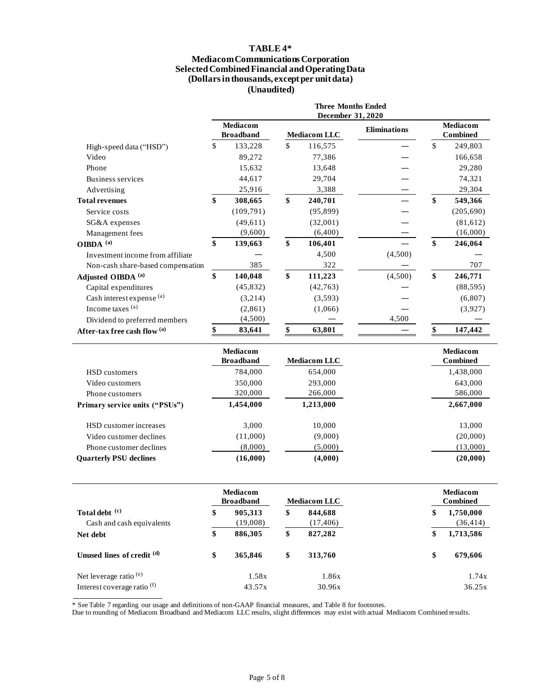#### **TABLE 4\***

#### **Mediacom Communications Corporation Selected Combined Financial and Operating Data (Dollars in thousands, except per unit data) (Unaudited)**

|                                   |                                     | <b>Three Months Ended</b><br>December 31, 2020 |                     |                                    |
|-----------------------------------|-------------------------------------|------------------------------------------------|---------------------|------------------------------------|
|                                   | <b>Mediacom</b><br><b>Broadband</b> | <b>Mediacom LLC</b>                            | <b>Eliminations</b> | <b>Mediacom</b><br><b>Combined</b> |
| High-speed data ("HSD")           | \$<br>133,228                       | \$<br>116,575                                  |                     | \$<br>249,803                      |
| Video                             | 89,272                              | 77,386                                         |                     | 166,658                            |
| Phone                             | 15,632                              | 13,648                                         |                     | 29,280                             |
| Business services                 | 44,617                              | 29,704                                         |                     | 74,321                             |
| Advertising                       | 25,916                              | 3,388                                          |                     | 29,304                             |
| <b>Total revenues</b>             | \$<br>308,665                       | \$<br>240,701                                  |                     | \$<br>549,366                      |
| Service costs                     | (109,791)                           | (95, 899)                                      |                     | (205, 690)                         |
| SG&A expenses                     | (49,611)                            | (32,001)                                       |                     | (81, 612)                          |
| Management fees                   | (9,600)                             | (6,400)                                        |                     | (16,000)                           |
| OIBDA <sup>(a)</sup>              | \$<br>139,663                       | \$<br>106,401                                  |                     | \$<br>246,064                      |
| Investment income from affiliate  |                                     | 4,500                                          | (4,500)             |                                    |
| Non-cash share-based compensation | 385                                 | 322                                            |                     | 707                                |
| Adjusted OIBDA (a)                | \$<br>140,048                       | \$<br>111,223                                  | (4,500)             | \$<br>246,771                      |
| Capital expenditures              | (45, 832)                           | (42, 763)                                      |                     | (88, 595)                          |
| Cash interest expense (a)         | (3,214)                             | (3,593)                                        |                     | (6,807)                            |
| Income taxes (a)                  | (2,861)                             | (1,066)                                        |                     | (3,927)                            |
| Dividend to preferred members     | (4,500)                             |                                                | 4,500               |                                    |
| After-tax free cash flow (a)      | 83,641                              | 63,801                                         |                     | 147,442                            |
|                                   | <b>Mediacom</b><br><b>Broadband</b> | <b>Mediacom LLC</b>                            |                     | Mediacom<br><b>Combined</b>        |
| <b>HSD</b> customers              | 784,000                             | 654,000                                        |                     | 1,438,000                          |
| Video customers                   | 350,000                             | 293,000                                        |                     | 643,000                            |
| Phone customers                   | 320,000                             | 266,000                                        |                     | 586,000                            |
| Primary service units ("PSUs")    | 1,454,000                           | 1,213,000                                      |                     | 2,667,000                          |
| HSD customer increases            | 3,000                               | 10,000                                         |                     | 13,000                             |
| Video customer declines           | (11,000)                            | (9,000)                                        |                     | (20,000)                           |
| Phone customer declines           | (8,000)                             | (5,000)                                        |                     | (13,000)                           |

|                                        | <b>Mediacom</b><br><b>Broadband</b> | <b>Mediacom LLC</b> | <b>Mediacom</b><br><b>Combined</b> |
|----------------------------------------|-------------------------------------|---------------------|------------------------------------|
| Total debt (c)                         | \$<br>905,313                       | \$<br>844,688       | \$<br>1,750,000                    |
| Cash and cash equivalents              | (19,008)                            | (17, 406)           | (36, 414)                          |
| Net debt                               | \$<br>886,305                       | \$<br>827,282       | \$<br>1,713,586                    |
| Unused lines of credit (d)             | \$<br>365,846                       | \$<br>313,760       | \$<br>679,606                      |
| Net leverage ratio <sup>(e)</sup>      | 1.58x                               | 1.86x               | 1.74x                              |
| Interest coverage ratio <sup>(f)</sup> | 43.57x                              | 30.96x              | 36.25x                             |

**Quarterly PSU declines (16,000) (4,000) (20,000)**

\* See Table 7 regarding our usage and definitions of non-GAAP financial measures, and Table 8 for footnotes.

Due to rounding of Mediacom Broadband and Mediacom LLC results, slight differences may exist with actual Mediacom Combined results.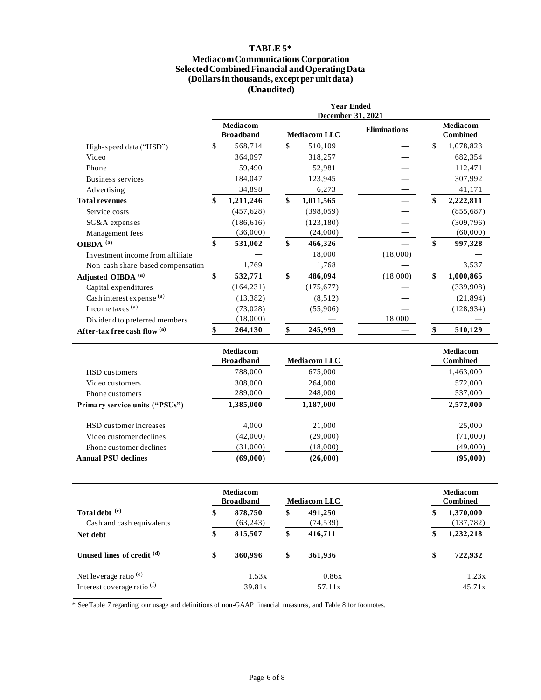## **TABLE 5\***

#### **Mediacom Communications Corporation Selected Combined Financial and Operating Data (Dollars in thousands, except per unit data) (Unaudited)**

|                                   | <b>Year Ended</b><br>December 31, 2021 |                                     |                    |                     |                     |    |                                    |  |  |
|-----------------------------------|----------------------------------------|-------------------------------------|--------------------|---------------------|---------------------|----|------------------------------------|--|--|
|                                   |                                        | <b>Mediacom</b><br><b>Broadband</b> |                    | <b>Mediacom LLC</b> | <b>Eliminations</b> |    | <b>Mediacom</b><br><b>Combined</b> |  |  |
| High-speed data ("HSD")           | \$                                     | 568,714                             | $\mathbf{\hat{s}}$ | 510,109             |                     | \$ | 1,078,823                          |  |  |
| Video                             |                                        | 364,097                             |                    | 318,257             |                     |    | 682,354                            |  |  |
| Phone                             |                                        | 59,490                              |                    | 52,981              |                     |    | 112,471                            |  |  |
| Business services                 |                                        | 184,047                             |                    | 123,945             |                     |    | 307,992                            |  |  |
| Advertising                       |                                        | 34,898                              |                    | 6,273               |                     |    | 41,171                             |  |  |
| <b>Total revenues</b>             | \$                                     | 1,211,246                           | \$                 | 1,011,565           |                     | \$ | 2,222,811                          |  |  |
| Service costs                     |                                        | (457, 628)                          |                    | (398, 059)          |                     |    | (855, 687)                         |  |  |
| SG&A expenses                     |                                        | (186, 616)                          |                    | (123, 180)          |                     |    | (309, 796)                         |  |  |
| Management fees                   |                                        | (36,000)                            |                    | (24,000)            |                     |    | (60,000)                           |  |  |
| OIBDA <sup>(a)</sup>              | \$                                     | 531,002                             | \$                 | 466,326             |                     | \$ | 997,328                            |  |  |
| Investment income from affiliate  |                                        |                                     |                    | 18,000              | (18,000)            |    |                                    |  |  |
| Non-cash share-based compensation |                                        | 1,769                               |                    | 1,768               |                     |    | 3,537                              |  |  |
| Adjusted OIBDA <sup>(a)</sup>     | \$                                     | 532,771                             | \$                 | 486,094             | (18,000)            | \$ | 1,000,865                          |  |  |
| Capital expenditures              |                                        | (164, 231)                          |                    | (175, 677)          |                     |    | (339,908)                          |  |  |
| Cash interest expense (a)         |                                        | (13, 382)                           |                    | (8,512)             |                     |    | (21, 894)                          |  |  |
| Income taxes (a)                  |                                        | (73, 028)                           |                    | (55,906)            |                     |    | (128, 934)                         |  |  |
| Dividend to preferred members     |                                        | (18,000)                            |                    |                     | 18,000              |    |                                    |  |  |
| After-tax free cash flow (a)      | \$                                     | 264,130                             | \$                 | 245,999             |                     | \$ | 510,129                            |  |  |
|                                   |                                        | <b>Mediacom</b><br><b>Broadband</b> |                    | <b>Mediacom LLC</b> |                     |    | <b>Mediacom</b><br><b>Combined</b> |  |  |
| <b>HSD</b> customers              |                                        | 788,000                             |                    | 675,000             |                     |    | 1,463,000                          |  |  |
| Video customers                   |                                        | 308,000                             |                    | 264,000             |                     |    | 572,000                            |  |  |
| Phone customers                   |                                        | 289,000                             |                    | 248,000             |                     |    | 537,000                            |  |  |
| Primary service units ("PSUs")    |                                        | 1,385,000                           |                    | 1,187,000           |                     |    | 2,572,000                          |  |  |
| HSD customer increases            |                                        | 4,000                               |                    | 21,000              |                     |    | 25,000                             |  |  |
| Video customer declines           |                                        | (42,000)                            |                    | (29,000)            |                     |    | (71,000)                           |  |  |
| Phone customer declines           |                                        | (31,000)                            |                    | (18,000)            |                     |    | (49,000)                           |  |  |
| <b>Annual PSU declines</b>        |                                        | (69,000)                            |                    | (26,000)            |                     |    | (95,000)                           |  |  |

|                                             | Mediacom<br><b>Broadband</b> |    | <b>Mediacom LLC</b>  | <b>Mediacom</b><br><b>Combined</b> |                         |
|---------------------------------------------|------------------------------|----|----------------------|------------------------------------|-------------------------|
| Total debt (c)<br>Cash and cash equivalents | \$<br>878,750<br>(63,243)    | \$ | 491,250<br>(74, 539) | \$                                 | 1,370,000<br>(137, 782) |
| Net debt                                    | \$<br>815,507                | \$ | 416,711              | \$                                 | 1,232,218               |
| Unused lines of credit (d)                  | \$<br>360,996                | \$ | 361,936              | \$                                 | 722,932                 |
| Net leverage ratio <sup>(e)</sup>           | 1.53x                        |    | 0.86x                |                                    | 1.23x                   |
| Interest coverage ratio <sup>(f)</sup>      | 39.81x                       |    | 57.11x               |                                    | 45.71x                  |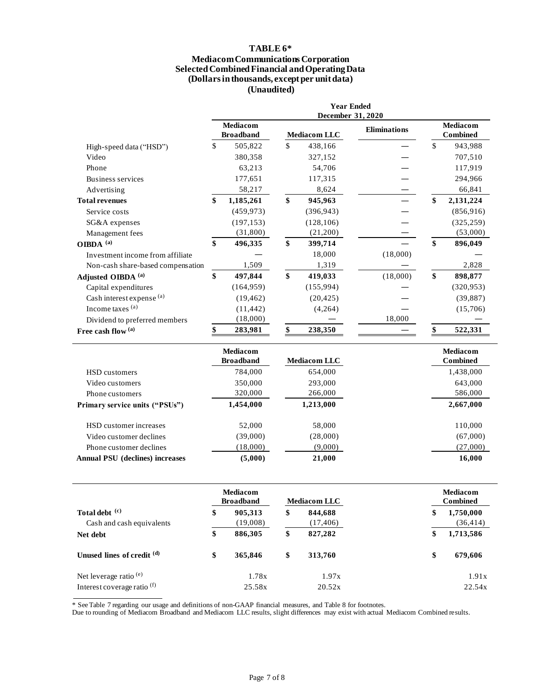#### **TABLE 6\* Mediacom Communications Corporation Selected Combined Financial and Operating Data (Dollars in thousands, except per unit data) (Unaudited)**

|                                   | <b>Year Ended</b><br>December 31, 2020 |                                     |    |                     |                     |              |                                    |
|-----------------------------------|----------------------------------------|-------------------------------------|----|---------------------|---------------------|--------------|------------------------------------|
|                                   |                                        | <b>Mediacom</b><br><b>Broadband</b> |    | <b>Mediacom LLC</b> | <b>Eliminations</b> |              | <b>Mediacom</b><br>Combined        |
| High-speed data ("HSD")           | \$                                     | 505,822                             | \$ | 438,166             |                     | $\mathbb{S}$ | 943,988                            |
| Video                             |                                        | 380,358                             |    | 327,152             |                     |              | 707,510                            |
| Phone                             |                                        | 63,213                              |    | 54,706              |                     |              | 117,919                            |
| Business services                 |                                        | 177,651                             |    | 117,315             |                     |              | 294,966                            |
| Advertising                       |                                        | 58,217                              |    | 8,624               |                     |              | 66,841                             |
| <b>Total revenues</b>             | \$                                     | 1,185,261                           | \$ | 945,963             |                     | \$           | 2,131,224                          |
| Service costs                     |                                        | (459, 973)                          |    | (396, 943)          |                     |              | (856, 916)                         |
| SG&A expenses                     |                                        | (197, 153)                          |    | (128, 106)          |                     |              | (325, 259)                         |
| Management fees                   |                                        | (31,800)                            |    | (21,200)            |                     |              | (53,000)                           |
| OIBDA <sup>(a)</sup>              | \$                                     | 496,335                             | \$ | 399,714             |                     | \$           | 896,049                            |
| Investment income from affiliate  |                                        |                                     |    | 18,000              | (18,000)            |              |                                    |
| Non-cash share-based compensation |                                        | 1,509                               |    | 1,319               |                     |              | 2,828                              |
| Adjusted OIBDA <sup>(a)</sup>     | \$                                     | 497,844                             | \$ | 419,033             | (18,000)            | \$           | 898,877                            |
| Capital expenditures              |                                        | (164, 959)                          |    | (155, 994)          |                     |              | (320, 953)                         |
| Cash interest expense (a)         |                                        | (19, 462)                           |    | (20, 425)           |                     |              | (39, 887)                          |
| Income taxes (a)                  |                                        | (11, 442)                           |    | (4,264)             |                     |              | (15,706)                           |
| Dividend to preferred members     |                                        | (18,000)                            |    |                     | 18,000              |              |                                    |
| Free cash flow $^{\rm (a)}$       |                                        | 283,981                             |    | 238,350             |                     |              | 522,331                            |
|                                   |                                        | <b>Mediacom</b><br><b>Broadband</b> |    | <b>Mediacom LLC</b> |                     |              | <b>Mediacom</b><br><b>Combined</b> |
| HSD customers                     |                                        | 784,000                             |    | 654,000             |                     |              | 1,438,000                          |
| Video customers                   |                                        | 350,000                             |    | 293,000             |                     |              | 643,000                            |
| Phone customers                   |                                        | 320,000                             |    | 266,000             |                     |              | 586,000                            |
| Primary service units ("PSUs")    |                                        | 1,454,000                           |    | 1,213,000           |                     |              | 2,667,000                          |

| HSD customer increases                 | 52,000   | 58,000   | 110,000  |
|----------------------------------------|----------|----------|----------|
| Video customer declines                | (39,000) | (28,000) | (67,000) |
| Phone customer declines                | (18,000) | (9.000)  | (27,000) |
| <b>Annual PSU</b> (declines) increases | (5.000)  | 21,000   | 16.000   |

|                                             | <b>Mediacom</b><br><b>Broadband</b> |                     | <b>Mediacom LLC</b> |                      | Mediacom<br><b>Combined</b> |                        |
|---------------------------------------------|-------------------------------------|---------------------|---------------------|----------------------|-----------------------------|------------------------|
| Total debt (c)<br>Cash and cash equivalents | \$                                  | 905,313<br>(19,008) | \$                  | 844,688<br>(17, 406) | \$                          | 1,750,000<br>(36, 414) |
| Net debt                                    | \$                                  | 886,305             | \$                  | 827,282              | \$                          | 1,713,586              |
| Unused lines of credit (d)                  | \$                                  | 365,846             | \$                  | 313,760              | \$                          | 679,606                |
| Net leverage ratio <sup>(e)</sup>           |                                     | 1.78x               |                     | 1.97x                |                             | 1.91x                  |
| Interest coverage ratio <sup>(f)</sup>      |                                     | 25.58x              |                     | 20.52x               |                             | 22.54x                 |

\* See Table 7 regarding our usage and definitions of non-GAAP financial measures, and Table 8 for footnotes.

Due to rounding of Mediacom Broadband and Mediacom LLC results, slight differences may exist with actual Mediacom Combined results.